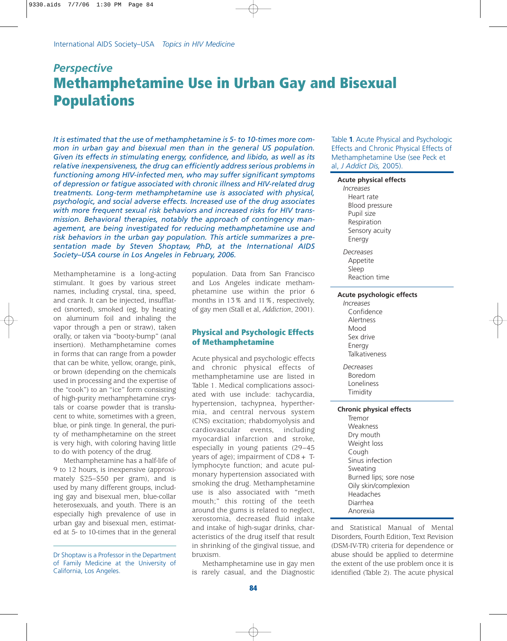# *Perspective* **Methamphetamine Use in Urban Gay and Bisexual Populations**

*It is estimated that the use of methamphetamine is 5- to 10-times more common in urban gay and bisexual men than in the general US population. Given its effects in stimulating energy, confidence, and libido, as well as its relative inexpensiveness, the drug can efficiently address serious problems in functioning among HIV-infected men, who may suffer significant symptoms of depression or fatigue associated with chronic illness and HIV-related drug treatments. Long-term methamphetamine use is associated with physical, psychologic, and social adverse effects. Increased use of the drug associates with more frequent sexual risk behaviors and increased risks for HIV transmission. Behavioral therapies, notably the approach of contingency management, are being investigated for reducing methamphetamine use and risk behaviors in the urban gay population. This article summarizes a presentation made by Steven Shoptaw, PhD, at the International AIDS Society–USA course in Los Angeles in February, 2006.* 

Methamphetamine is a long-acting stimulant. It goes by various street names, including crystal, tina, speed, and crank. It can be injected, insufflated (snorted), smoked (eg, by heating on aluminum foil and inhaling the vapor through a pen or straw), taken orally, or taken via "booty-bump" (anal insertion). Methamphetamine comes in forms that can range from a powder that can be white, yellow, orange, pink, or brown (depending on the chemicals used in processing and the expertise of the "cook") to an "ice" form consisting of high-purity methamphetamine crystals or coarse powder that is translucent to white, sometimes with a green, blue, or pink tinge. In general, the purity of methamphetamine on the street is very high, with coloring having little to do with potency of the drug.

Methamphetamine has a half-life of 9 to 12 hours, is inexpensive (approximately \$25–\$50 per gram), and is used by many different groups, including gay and bisexual men, blue-collar heterosexuals, and youth. There is an especially high prevalence of use in urban gay and bisexual men, estimated at 5- to 10-times that in the general population. Data from San Francisco and Los Angeles indicate methamphetamine use within the prior 6 months in 13% and 11%, respectively, of gay men (Stall et al, *Addiction*, 2001).

# **Physical and Psychologic Effects of Methamphetamine**

Acute physical and psychologic effects and chronic physical effects of methamphetamine use are listed in Table 1. Medical complications associated with use include: tachycardia, hypertension, tachypnea, hyperthermia, and central nervous system (CNS) excitation; rhabdomyolysis and cardiovascular events, including myocardial infarction and stroke, especially in young patients (29–45 years of age); impairment of  $CD8 + T$ lymphocyte function; and acute pulmonary hypertension associated with smoking the drug. Methamphetamine use is also associated with "meth mouth;" this rotting of the teeth around the gums is related to neglect, xerostomia, decreased fluid intake and intake of high-sugar drinks, characteristics of the drug itself that result in shrinking of the gingival tissue, and bruxism.

Methamphetamine use in gay men is rarely casual, and the Diagnostic

Table **1**. Acute Physical and Psychologic Effects and Chronic Physical Effects of Methamphetamine Use (see Peck et al, *J Addict Dis,* 2005).

#### **Acute physical effects**

*Increases* Heart rate Blood pressure Pupil size Respiration Sensory acuity Energy

*Decreases* Appetite Sleep Reaction time

#### **Acute psychologic effects**

*Increases* Confidence Alertness Mood Sex drive Energy Talkativeness

*Decreases* Boredom Loneliness Timidity

#### **Chronic physical effects**

Tremor Weakness Dry mouth Weight loss Cough Sinus infection Sweating Burned lips; sore nose Oily skin/complexion Headaches Diarrhea Anorexia

and Statistical Manual of Mental Disorders, Fourth Edition, Text Revision (DSM-IV-TR) criteria for dependence or abuse should be applied to determine the extent of the use problem once it is identified (Table 2). The acute physical

Dr Shoptaw is a Professor in the Department of Family Medicine at the University of California, Los Angeles.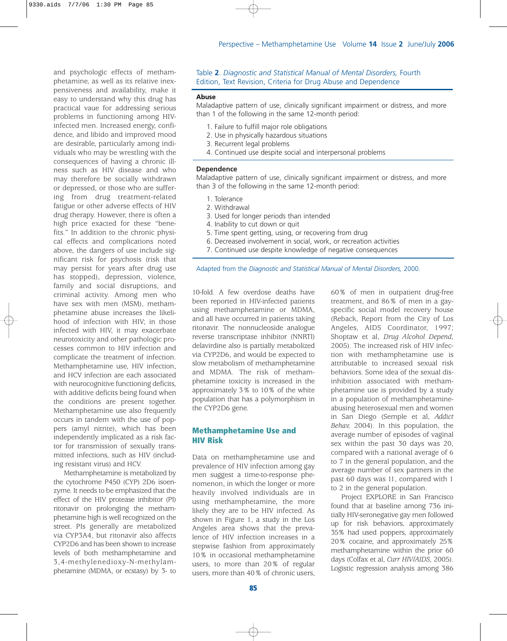and psychologic effects of methamphetamine, as well as its relative inexpensiveness and availability, make it easy to understand why this drug has practical vaue for addressing serious problems in functioning among HIVinfected men. Increased energy, confidence, and libido and improved mood are desirable, particularly among individuals who may be wrestling with the consequences of having a chronic illness such as HIV disease and who may therefore be socially withdrawn or depressed, or those who are suffering from drug treatment-related fatigue or other adverse effects of HIV drug therapy. However, there is often a high price exacted for these "benefits." In addition to the chronic physical effects and complications noted above, the dangers of use include significant risk for psychosis (risk that may persist for years after drug use has stopped), depression, violence, family and social disruptions, and criminal activity. Among men who have sex with men (MSM), methamphetamine abuse increases the likelihood of infection with HIV; in those infected with HIV, it may exacerbate neurotoxicity and other pathologic processes common to HIV infection and complicate the treatment of infection. Methamphetamine use, HIV infection, and HCV infection are each associated with neurocognitive functioning deficits, with additive deficits being found when the conditions are present together. Methamphetamine use also frequently occurs in tandem with the use of poppers (amyl nitrite), which has been independently implicated as a risk factor for transmission of sexually transmitted infections, such as HIV (including resistant virus) and HCV.

Methamphetamine is metabolized by the cytochrome P450 (CYP) 2D6 isoenzyme. It needs to be emphasized that the effect of the HIV protease inhibitor (PI) ritonavir on prolonging the methamphetamine high is well recognized on the street. PIs generally are metabolized via CYP3A4, but ritonavir also affects CYP2D6 and has been shown to increase levels of both methamphetamine and 3,4-methylenedioxy-N-methylamphetamine (MDMA, or ecstasy) by 3- to

Table **2**. *Diagnostic and Statistical Manual of Mental Disorders,* Fourth Edition, Text Revision, Criteria for Drug Abuse and Dependence

#### **Abuse**

Maladaptive pattern of use, clinically significant impairment or distress, and more than 1 of the following in the same 12-month period:

- 1. Failure to fulfill major role obligations
- 2. Use in physically hazardous situations
- 3. Recurrent legal problems
- 4. Continued use despite social and interpersonal problems

#### **Dependence**

Maladaptive pattern of use, clinically significant impairment or distress, and more than 3 of the following in the same 12-month period:

- 1. Tolerance
- 2. Withdrawal
- 3. Used for longer periods than intended
- 4. Inability to cut down or quit
- 5. Time spent getting, using, or recovering from drug
- 6. Decreased involvement in social, work, or recreation activities
- 7. Continued use despite knowledge of negative consequences

Adapted from the *Diagnostic and Statistical Manual of Mental Disorders,* 2000.

10-fold. A few overdose deaths have been reported in HIV-infected patients using methamphetamine or MDMA, and all have occurred in patients taking ritonavir. The nonnucleoside analogue reverse transcriptase inhibitor (NNRTI) delavirdine also is partially metabolized via CYP2D6, and would be expected to slow metabolism of methamphetamine and MDMA. The risk of methamphetamine toxicity is increased in the approximately 3% to 10% of the white population that has a polymorphism in the CYP2D6 gene.

## **Methamphetamine Use and HIV Risk**

Data on methamphetamine use and prevalence of HIV infection among gay men suggest a time-to-response phenomenon, in which the longer or more heavily involved individuals are in using methamphetamine, the more likely they are to be HIV infected. As shown in Figure 1, a study in the Los Angeles area shows that the prevalence of HIV infection increases in a stepwise fashion from approximately 10% in occasional methamphetamine users, to more than 20% of regular users, more than 40% of chronic users,

60% of men in outpatient drug-free treatment, and 86% of men in a gayspecific social model recovery house (Reback, Report from the City of Los Angeles, AIDS Coordinator, 1997; Shoptaw et al, *Drug Alcohol Depend*, 2005). The increased risk of HIV infection with methamphetamine use is attributable to increased sexual risk behaviors. Some idea of the sexual disinhibition associated with methamphetamine use is provided by a study in a population of methamphetamineabusing heterosexual men and women in San Diego (Semple et al, *Addict Behav,* 2004). In this population, the average number of episodes of vaginal sex within the past 30 days was 20, compared with a national average of 6 to 7 in the general population, and the average number of sex partners in the past 60 days was 11, compared with 1 to 2 in the general population.

Project EXPLORE in San Francisco found that at baseline among 736 initially HIV-seronegative gay men followed up for risk behaviors, approximately 35% had used poppers, approximately 20% cocaine, and approximately 25% methamphetamine within the prior 60 days (Colfax et al, *Curr HIV/AIDS*, 2005). Logistic regression analysis among 386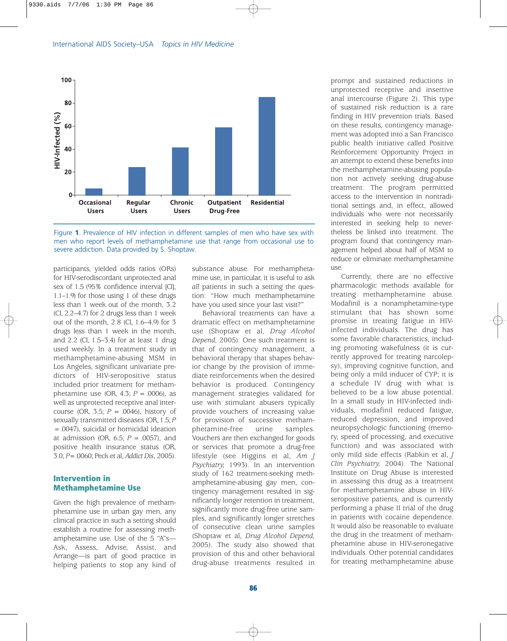



participants, yielded odds ratios (ORs) for HIV-serodiscordant unprotected anal sex of 1.5 (95% confidence interval [CI], 1.1–1.9) for those using 1 of these drugs less than 1 week out of the month, 3.2 (CI, 2.2–4.7) for 2 drugs less than 1 week out of the month, 2.8 (CI, 1.6–4.9) for 3 drugs less than 1 week in the month, and 2.2 (CI, 1.5–3.4) for at least 1 drug used weekly. In a treatment study in methamphetamine-abusing MSM in Los Angeles, significant univariate predictors of HIV-seropositive status included prior treatment for methamphetamine use (OR,  $4.3$ ;  $P = .0006$ ), as well as unprotected receptive anal intercourse (OR, 3.5; *P* = .0046), history of sexually transmitted diseases (OR, 1.5; *P* = .0047), suicidal or homicidal ideation at admission (OR, 6.5; *P* = .0057), and positive health insurance status (OR, 3.0; *P*= .0060; Peck et al, *Addict Dis*, 2005).

## **Intervention in Methamphetamine Use**

Given the high prevalence of methamphetamine use in urban gay men, any clinical practice in such a setting should establish a routine for assessing methamphetamine use. Use of the 5 "A"s— Ask, Assess, Advise, Assist, and Arrange—is part of good practice in helping patients to stop any kind of

substance abuse. For methamphetamine use, in particular, it is useful to ask *all* patients in such a setting the question: "How much methamphetamine have you used since your last visit?"

Behavioral treatments can have a dramatic effect on methamphetamine use (Shoptaw et al, *Drug Alcohol Depend,* 2005). One such treatment is that of contingency management, a behavioral therapy that shapes behavior change by the provision of immediate reinforcements when the desired behavior is produced. Contingency management strategies validated for use with stimulant abusers typically provide vouchers of increasing value for provision of successive methamphetamine-free urine samples. Vouchers are then exchanged for goods or services that promote a drug-free lifestyle (see Higgins et al, *Am J Psychiatry,* 1993). In an intervention study of 162 treatment-seeking methamphetamine-abusing gay men, contingency management resulted in significantly longer retention in treatment, significantly more drug-free urine samples, and significantly longer stretches of consecutive clean urine samples (Shoptaw et al, *Drug Alcohol Depend,* 2005). The study also showed that provision of this and other behavioral drug-abuse treatments resulted in prompt and sustained reductions in unprotected receptive and insertive anal intercourse (Figure 2). This type of sustained risk reduction is a rare finding in HIV prevention trials. Based on these results, contingency management was adopted into a San Francisco public health initiative called Positive Reinforcement Opportunity Project in an attempt to extend these benefits into the methamphetamine-abusing population not actively seeking drug-abuse treatment. The program permitted access to the intervention in nontraditional settings and, in effect, allowed individuals who were not necessarily interested in seeking help to nevertheless be linked into treatment. The program found that contingency management helped about half of MSM to reduce or eliminate methamphetamine use.

Currently, there are no effective pharmacologic methods available for treating methamphetamine abuse. Modafinil is a nonamphetamine-type stimulant that has shown some promise in treating fatigue in HIVinfected individuals. The drug has some favorable characteristics, including promoting wakefulness (it is currently approved for treating narcolepsy), improving cognitive function, and being only a mild inducer of CYP; it is a schedule IV drug with what is believed to be a low abuse potential. In a small study in HIV-infected individuals, modafinil reduced fatigue, reduced depression, and improved neuropsychologic functioning (memory, speed of processing, and executive function) and was associated with only mild side effects (Rabkin et al, *J Clin Psychiatry,* 2004). The National Institute on Drug Abuse is interested in assessing this drug as a treatment for methamphetamine abuse in HIVseropositive patients, and is currently performing a phase II trial of the drug in patients with cocaine dependence. It would also be reasonable to evaluate the drug in the treatment of methamphetamine abuse in HIV-seronegative individuals. Other potential candidates for treating methamphetamine abuse